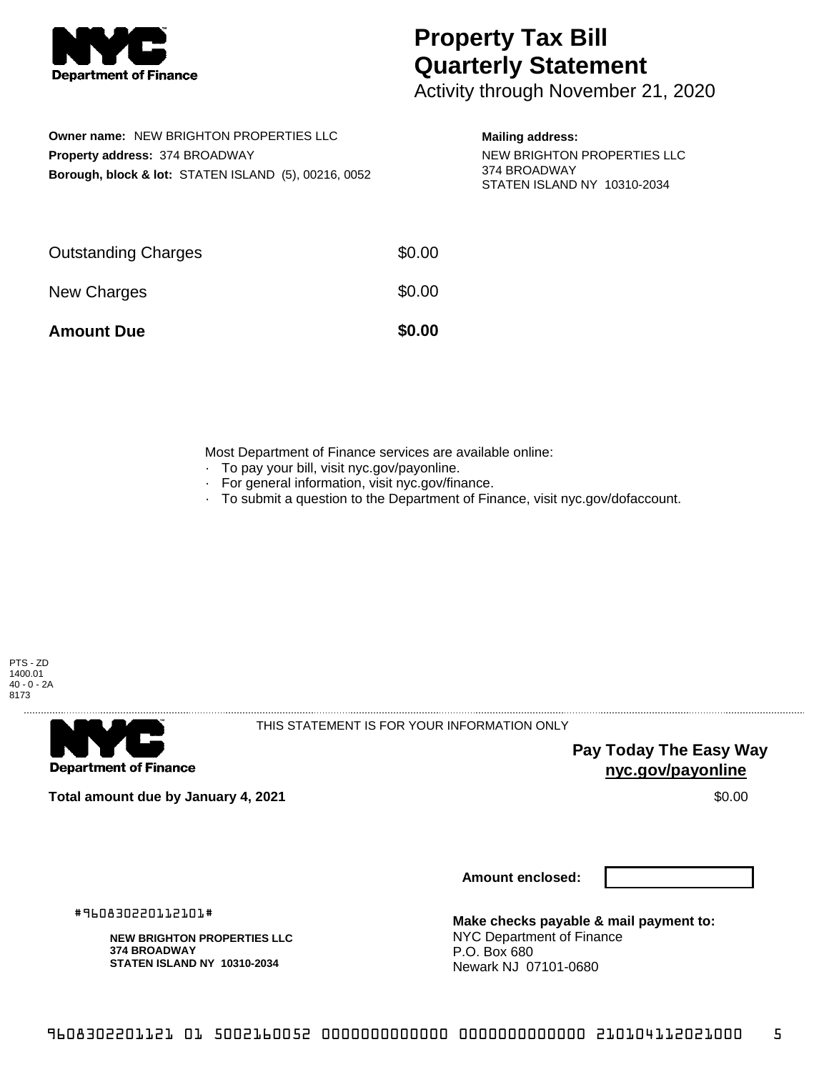

## **Property Tax Bill Quarterly Statement**

Activity through November 21, 2020

|                                       | <b>Owner name: NEW BRIGHTON PROPERTIES LLC</b>                  |  |  |  |  |
|---------------------------------------|-----------------------------------------------------------------|--|--|--|--|
| <b>Property address: 374 BROADWAY</b> |                                                                 |  |  |  |  |
|                                       | <b>Borough, block &amp; lot: STATEN ISLAND (5), 00216, 0052</b> |  |  |  |  |

**Mailing address:**

NEW BRIGHTON PROPERTIES LLC 374 BROADWAY STATEN ISLAND NY 10310-2034

| <b>Amount Due</b>          | \$0.00 |
|----------------------------|--------|
| New Charges                | \$0.00 |
| <b>Outstanding Charges</b> | \$0.00 |

Most Department of Finance services are available online:

- · To pay your bill, visit nyc.gov/payonline.
- For general information, visit nyc.gov/finance.
- · To submit a question to the Department of Finance, visit nyc.gov/dofaccount.





THIS STATEMENT IS FOR YOUR INFORMATION ONLY

**Pay Today The Easy Way nyc.gov/payonline**

**Total amount due by January 4, 2021** \$0.00

**Amount enclosed:**

#960830220112101#

**NEW BRIGHTON PROPERTIES LLC 374 BROADWAY STATEN ISLAND NY 10310-2034**

**Make checks payable & mail payment to:** NYC Department of Finance P.O. Box 680 Newark NJ 07101-0680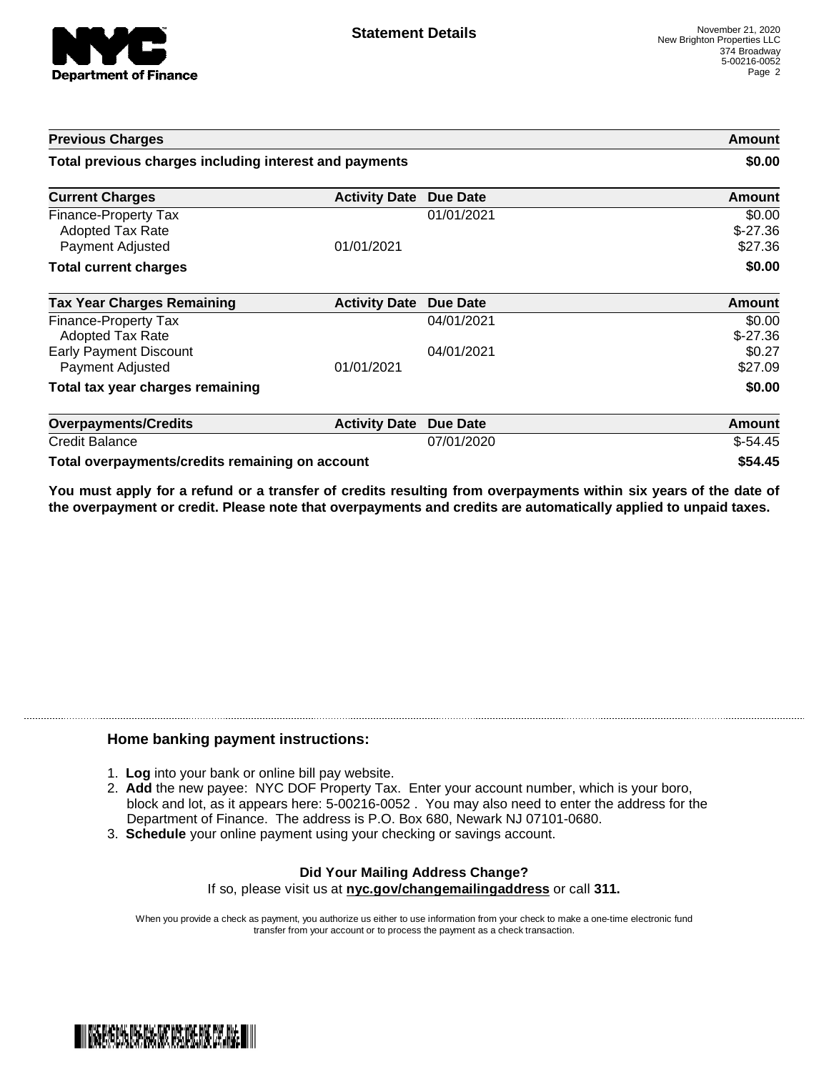

| <b>Previous Charges</b><br>Total previous charges including interest and payments |                      |                 | Amount<br>\$0.00               |
|-----------------------------------------------------------------------------------|----------------------|-----------------|--------------------------------|
|                                                                                   |                      |                 |                                |
| Finance-Property Tax<br><b>Adopted Tax Rate</b><br>Payment Adjusted               | 01/01/2021           | 01/01/2021      | \$0.00<br>$$-27.36$<br>\$27.36 |
| <b>Total current charges</b>                                                      |                      | \$0.00          |                                |
| <b>Tax Year Charges Remaining</b>                                                 | <b>Activity Date</b> | Due Date        | <b>Amount</b>                  |
| Finance-Property Tax<br>Adopted Tax Rate                                          |                      | 04/01/2021      | \$0.00<br>$$-27.36$            |
| <b>Early Payment Discount</b><br>Payment Adjusted                                 | 01/01/2021           | 04/01/2021      | \$0.27<br>\$27.09              |
| Total tax year charges remaining                                                  |                      |                 | \$0.00                         |
| <b>Overpayments/Credits</b>                                                       | <b>Activity Date</b> | <b>Due Date</b> | <b>Amount</b>                  |
| <b>Credit Balance</b>                                                             |                      | 07/01/2020      | $$-54.45$                      |
| Total overpayments/credits remaining on account                                   |                      |                 | \$54.45                        |

You must apply for a refund or a transfer of credits resulting from overpayments within six years of the date of **the overpayment or credit. Please note that overpayments and credits are automatically applied to unpaid taxes.**

## **Home banking payment instructions:**

- 1. **Log** into your bank or online bill pay website.
- 2. **Add** the new payee: NYC DOF Property Tax. Enter your account number, which is your boro, block and lot, as it appears here: 5-00216-0052 . You may also need to enter the address for the Department of Finance. The address is P.O. Box 680, Newark NJ 07101-0680.
- 3. **Schedule** your online payment using your checking or savings account.

## **Did Your Mailing Address Change?** If so, please visit us at **nyc.gov/changemailingaddress** or call **311.**

When you provide a check as payment, you authorize us either to use information from your check to make a one-time electronic fund transfer from your account or to process the payment as a check transaction.